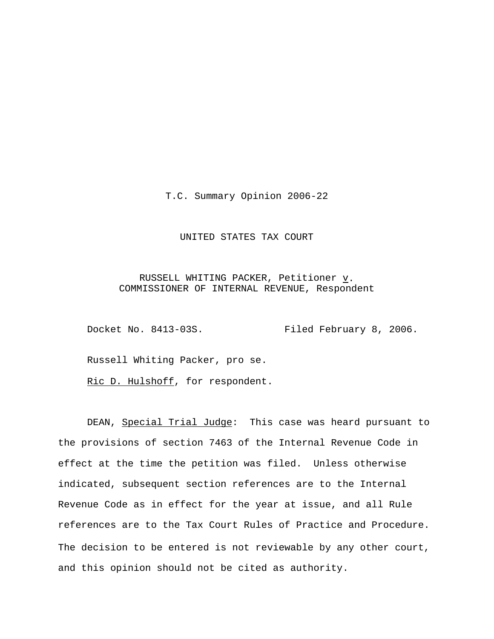T.C. Summary Opinion 2006-22

### UNITED STATES TAX COURT

## RUSSELL WHITING PACKER, Petitioner  $\underline{v}$ . COMMISSIONER OF INTERNAL REVENUE, Respondent

Docket No. 8413-03S. Filed February 8, 2006.

Russell Whiting Packer, pro se.

Ric D. Hulshoff, for respondent.

DEAN, Special Trial Judge: This case was heard pursuant to the provisions of section 7463 of the Internal Revenue Code in effect at the time the petition was filed. Unless otherwise indicated, subsequent section references are to the Internal Revenue Code as in effect for the year at issue, and all Rule references are to the Tax Court Rules of Practice and Procedure. The decision to be entered is not reviewable by any other court, and this opinion should not be cited as authority.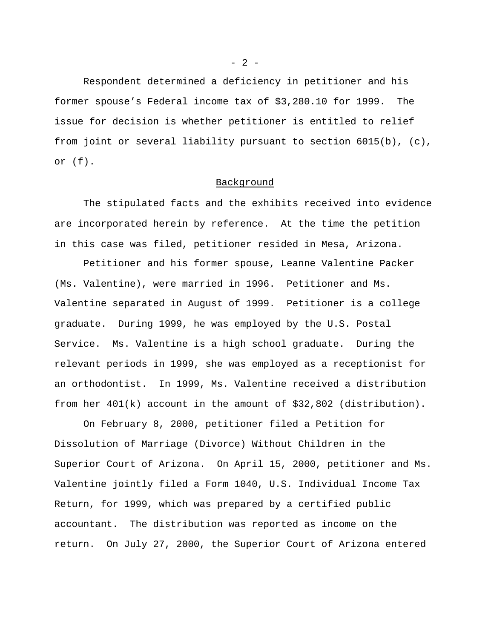Respondent determined a deficiency in petitioner and his former spouse's Federal income tax of \$3,280.10 for 1999. The issue for decision is whether petitioner is entitled to relief from joint or several liability pursuant to section 6015(b), (c), or (f).

#### Background

The stipulated facts and the exhibits received into evidence are incorporated herein by reference. At the time the petition in this case was filed, petitioner resided in Mesa, Arizona.

Petitioner and his former spouse, Leanne Valentine Packer (Ms. Valentine), were married in 1996. Petitioner and Ms. Valentine separated in August of 1999. Petitioner is a college graduate. During 1999, he was employed by the U.S. Postal Service. Ms. Valentine is a high school graduate. During the relevant periods in 1999, she was employed as a receptionist for an orthodontist. In 1999, Ms. Valentine received a distribution from her 401(k) account in the amount of \$32,802 (distribution).

On February 8, 2000, petitioner filed a Petition for Dissolution of Marriage (Divorce) Without Children in the Superior Court of Arizona. On April 15, 2000, petitioner and Ms. Valentine jointly filed a Form 1040, U.S. Individual Income Tax Return, for 1999, which was prepared by a certified public accountant. The distribution was reported as income on the return. On July 27, 2000, the Superior Court of Arizona entered

 $- 2 -$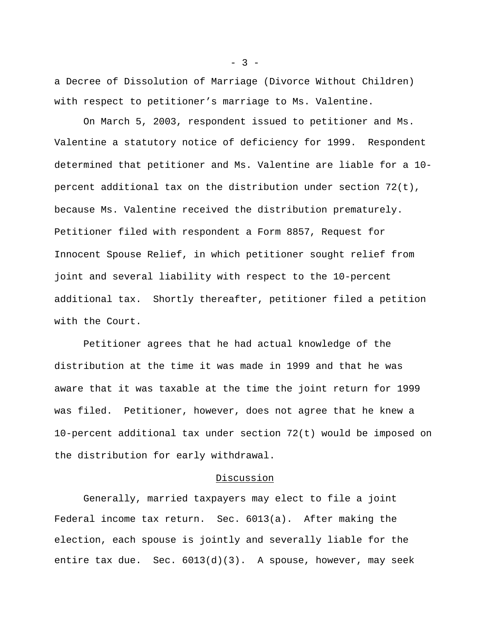a Decree of Dissolution of Marriage (Divorce Without Children) with respect to petitioner's marriage to Ms. Valentine.

On March 5, 2003, respondent issued to petitioner and Ms. Valentine a statutory notice of deficiency for 1999. Respondent determined that petitioner and Ms. Valentine are liable for a 10 percent additional tax on the distribution under section 72(t), because Ms. Valentine received the distribution prematurely. Petitioner filed with respondent a Form 8857, Request for Innocent Spouse Relief, in which petitioner sought relief from joint and several liability with respect to the 10-percent additional tax. Shortly thereafter, petitioner filed a petition with the Court.

Petitioner agrees that he had actual knowledge of the distribution at the time it was made in 1999 and that he was aware that it was taxable at the time the joint return for 1999 was filed. Petitioner, however, does not agree that he knew a 10-percent additional tax under section 72(t) would be imposed on the distribution for early withdrawal.

#### Discussion

Generally, married taxpayers may elect to file a joint Federal income tax return. Sec. 6013(a). After making the election, each spouse is jointly and severally liable for the entire tax due. Sec. 6013(d)(3). A spouse, however, may seek

 $-3 -$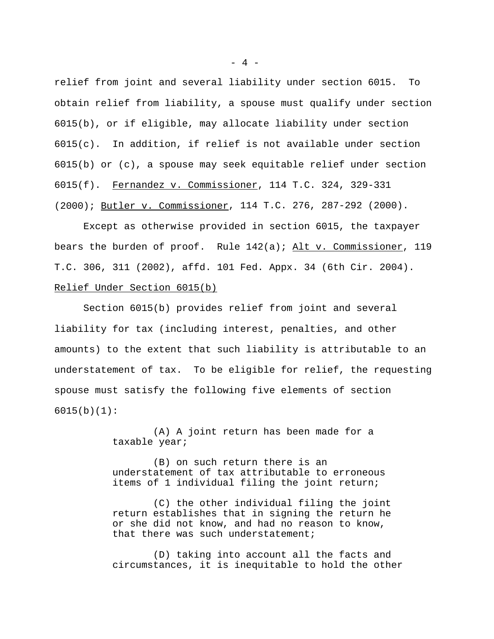relief from joint and several liability under section 6015. To obtain relief from liability, a spouse must qualify under section 6015(b), or if eligible, may allocate liability under section  $6015(c)$ . In addition, if relief is not available under section 6015(b) or (c), a spouse may seek equitable relief under section 6015(f). Fernandez v. Commissioner, 114 T.C. 324, 329-331 (2000); Butler v. Commissioner, 114 T.C. 276, 287-292 (2000).

Except as otherwise provided in section 6015, the taxpayer bears the burden of proof. Rule 142(a); Alt v. Commissioner, 119 T.C. 306, 311 (2002), affd. 101 Fed. Appx. 34 (6th Cir. 2004). Relief Under Section 6015(b)

Section 6015(b) provides relief from joint and several liability for tax (including interest, penalties, and other amounts) to the extent that such liability is attributable to an understatement of tax. To be eligible for relief, the requesting spouse must satisfy the following five elements of section 6015(b)(1):

> (A) A joint return has been made for a taxable year;

(B) on such return there is an understatement of tax attributable to erroneous items of 1 individual filing the joint return;

(C) the other individual filing the joint return establishes that in signing the return he or she did not know, and had no reason to know, that there was such understatement;

(D) taking into account all the facts and circumstances, it is inequitable to hold the other

 $- 4 -$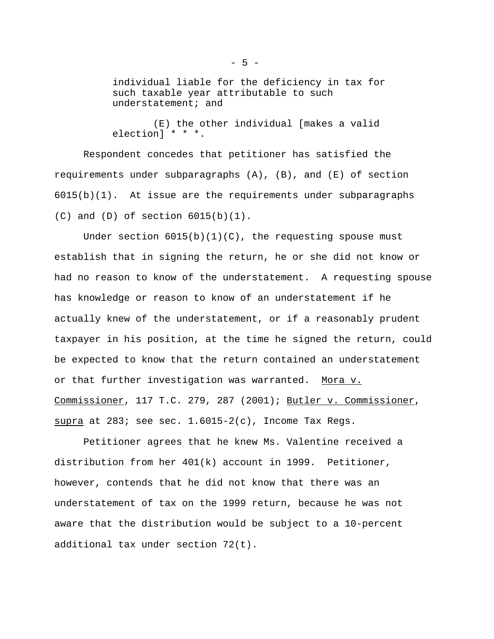individual liable for the deficiency in tax for such taxable year attributable to such understatement; and

(E) the other individual [makes a valid election] \* \* \*.

Respondent concedes that petitioner has satisfied the requirements under subparagraphs (A), (B), and (E) of section  $6015(b)(1)$ . At issue are the requirements under subparagraphs  $(C)$  and  $(D)$  of section  $6015(b)(1)$ .

Under section  $6015(b)(1)(C)$ , the requesting spouse must establish that in signing the return, he or she did not know or had no reason to know of the understatement. A requesting spouse has knowledge or reason to know of an understatement if he actually knew of the understatement, or if a reasonably prudent taxpayer in his position, at the time he signed the return, could be expected to know that the return contained an understatement or that further investigation was warranted. Mora v. Commissioner, 117 T.C. 279, 287 (2001); Butler v. Commissioner, supra at 283; see sec.  $1.6015-2(c)$ , Income Tax Regs.

Petitioner agrees that he knew Ms. Valentine received a distribution from her 401(k) account in 1999. Petitioner, however, contends that he did not know that there was an understatement of tax on the 1999 return, because he was not aware that the distribution would be subject to a 10-percent additional tax under section 72(t).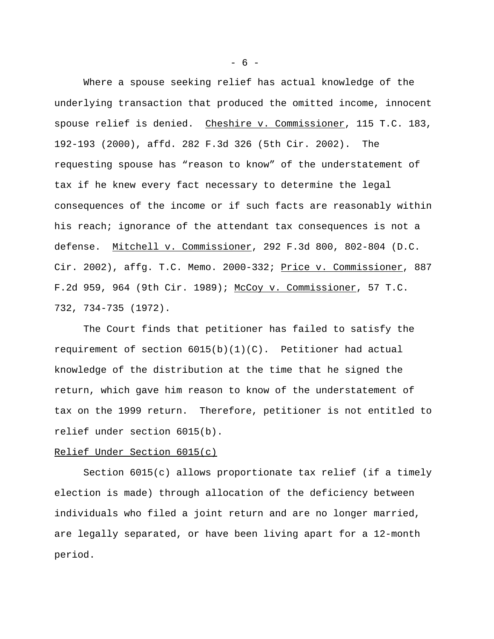Where a spouse seeking relief has actual knowledge of the underlying transaction that produced the omitted income, innocent spouse relief is denied. Cheshire v. Commissioner, 115 T.C. 183, 192-193 (2000), affd. 282 F.3d 326 (5th Cir. 2002). The requesting spouse has "reason to know" of the understatement of tax if he knew every fact necessary to determine the legal consequences of the income or if such facts are reasonably within his reach; ignorance of the attendant tax consequences is not a defense. Mitchell v. Commissioner, 292 F.3d 800, 802-804 (D.C. Cir. 2002), affg. T.C. Memo. 2000-332; Price v. Commissioner, 887 F.2d 959, 964 (9th Cir. 1989); McCoy v. Commissioner, 57 T.C. 732, 734-735 (1972).

The Court finds that petitioner has failed to satisfy the requirement of section  $6015(b)(1)(C)$ . Petitioner had actual knowledge of the distribution at the time that he signed the return, which gave him reason to know of the understatement of tax on the 1999 return. Therefore, petitioner is not entitled to relief under section 6015(b).

## Relief Under Section 6015(c)

Section 6015(c) allows proportionate tax relief (if a timely election is made) through allocation of the deficiency between individuals who filed a joint return and are no longer married, are legally separated, or have been living apart for a 12-month period.

 $- 6 -$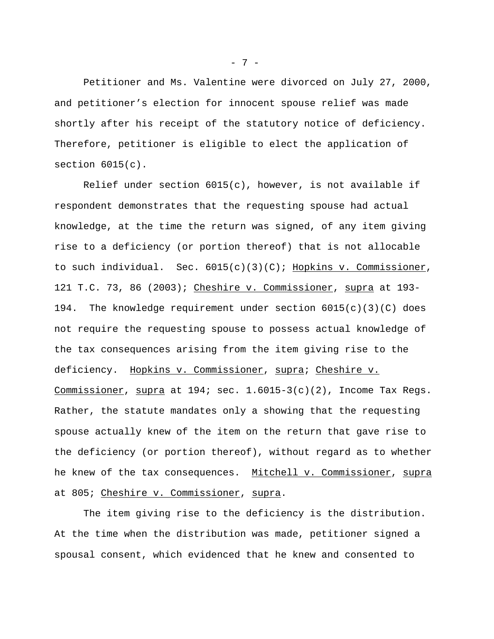Petitioner and Ms. Valentine were divorced on July 27, 2000, and petitioner's election for innocent spouse relief was made shortly after his receipt of the statutory notice of deficiency. Therefore, petitioner is eligible to elect the application of section 6015(c).

Relief under section  $6015(c)$ , however, is not available if respondent demonstrates that the requesting spouse had actual knowledge, at the time the return was signed, of any item giving rise to a deficiency (or portion thereof) that is not allocable to such individual. Sec.  $6015(c)(3)(C)$ ; Hopkins v. Commissioner, 121 T.C. 73, 86 (2003); Cheshire v. Commissioner, supra at 193- 194. The knowledge requirement under section  $6015(c)(3)(C)$  does not require the requesting spouse to possess actual knowledge of the tax consequences arising from the item giving rise to the deficiency. Hopkins v. Commissioner, supra; Cheshire v. Commissioner, supra at 194; sec. 1.6015-3(c)(2), Income Tax Regs. Rather, the statute mandates only a showing that the requesting spouse actually knew of the item on the return that gave rise to the deficiency (or portion thereof), without regard as to whether he knew of the tax consequences. Mitchell v. Commissioner, supra at 805; Cheshire v. Commissioner, supra.

The item giving rise to the deficiency is the distribution. At the time when the distribution was made, petitioner signed a spousal consent, which evidenced that he knew and consented to

- 7 -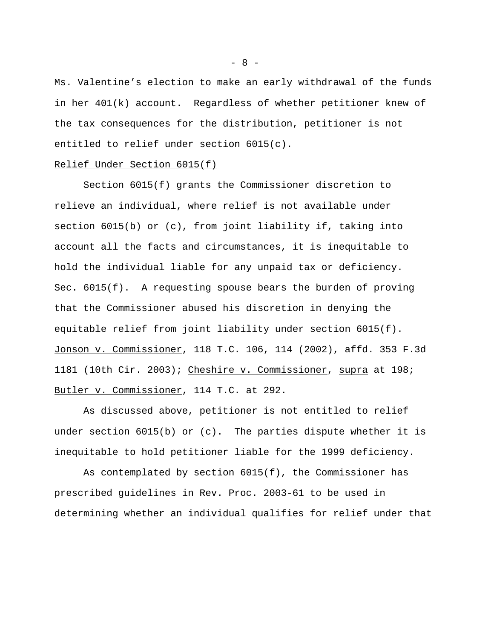Ms. Valentine's election to make an early withdrawal of the funds in her 401(k) account. Regardless of whether petitioner knew of the tax consequences for the distribution, petitioner is not entitled to relief under section 6015(c).

## Relief Under Section 6015(f)

Section 6015(f) grants the Commissioner discretion to relieve an individual, where relief is not available under section 6015(b) or (c), from joint liability if, taking into account all the facts and circumstances, it is inequitable to hold the individual liable for any unpaid tax or deficiency. Sec. 6015(f). A requesting spouse bears the burden of proving that the Commissioner abused his discretion in denying the equitable relief from joint liability under section 6015(f). Jonson v. Commissioner, 118 T.C. 106, 114 (2002), affd. 353 F.3d 1181 (10th Cir. 2003); Cheshire v. Commissioner, supra at 198; Butler v. Commissioner, 114 T.C. at 292.

As discussed above, petitioner is not entitled to relief under section 6015(b) or (c). The parties dispute whether it is inequitable to hold petitioner liable for the 1999 deficiency.

As contemplated by section 6015(f), the Commissioner has prescribed guidelines in Rev. Proc. 2003-61 to be used in determining whether an individual qualifies for relief under that

- 8 -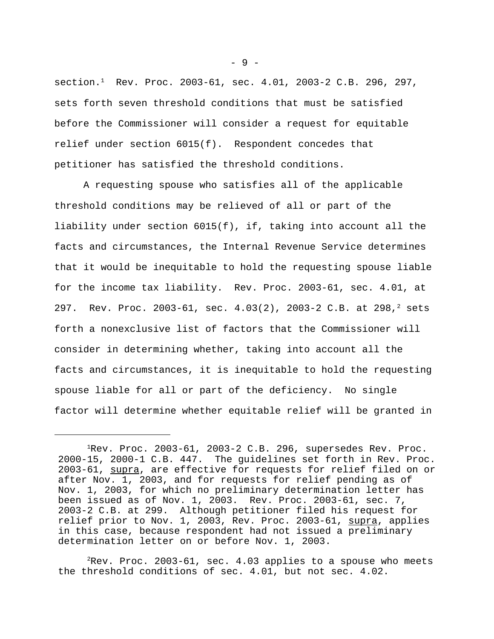section.<sup>1</sup> Rev. Proc. 2003-61, sec. 4.01, 2003-2 C.B. 296, 297, sets forth seven threshold conditions that must be satisfied before the Commissioner will consider a request for equitable relief under section 6015(f). Respondent concedes that petitioner has satisfied the threshold conditions.

A requesting spouse who satisfies all of the applicable threshold conditions may be relieved of all or part of the liability under section 6015(f), if, taking into account all the facts and circumstances, the Internal Revenue Service determines that it would be inequitable to hold the requesting spouse liable for the income tax liability. Rev. Proc. 2003-61, sec. 4.01, at 297. Rev. Proc. 2003-61, sec.  $4.03(2)$ , 2003-2 C.B. at 298,<sup>2</sup> sets forth a nonexclusive list of factors that the Commissioner will consider in determining whether, taking into account all the facts and circumstances, it is inequitable to hold the requesting spouse liable for all or part of the deficiency. No single factor will determine whether equitable relief will be granted in

 ${}^{2}$ Rev. Proc. 2003-61, sec. 4.03 applies to a spouse who meets the threshold conditions of sec. 4.01, but not sec. 4.02.

 $-9 -$ 

 $1$ Rev. Proc. 2003-61, 2003-2 C.B. 296, supersedes Rev. Proc. 2000-15, 2000-1 C.B. 447. The guidelines set forth in Rev. Proc. 2003-61, supra, are effective for requests for relief filed on or after Nov. 1, 2003, and for requests for relief pending as of Nov. 1, 2003, for which no preliminary determination letter has been issued as of Nov. 1, 2003. Rev. Proc. 2003-61, sec. 7, 2003-2 C.B. at 299. Although petitioner filed his request for relief prior to Nov. 1, 2003, Rev. Proc. 2003-61, supra, applies in this case, because respondent had not issued a preliminary determination letter on or before Nov. 1, 2003.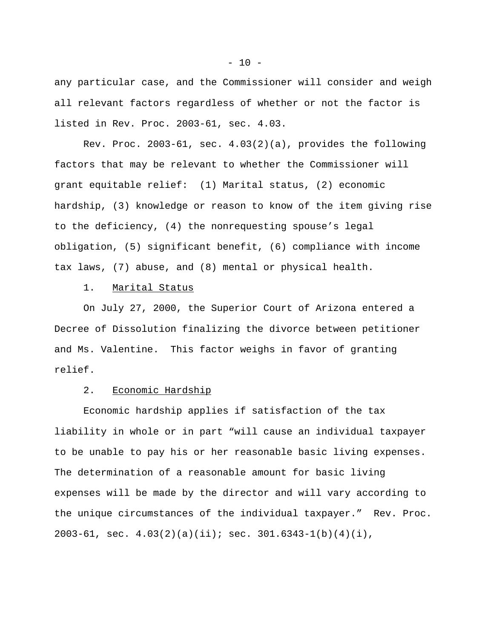any particular case, and the Commissioner will consider and weigh all relevant factors regardless of whether or not the factor is listed in Rev. Proc. 2003-61, sec. 4.03.

Rev. Proc. 2003-61, sec. 4.03(2)(a), provides the following factors that may be relevant to whether the Commissioner will grant equitable relief: (1) Marital status, (2) economic hardship, (3) knowledge or reason to know of the item giving rise to the deficiency, (4) the nonrequesting spouse's legal obligation, (5) significant benefit, (6) compliance with income tax laws, (7) abuse, and (8) mental or physical health.

1. Marital Status

On July 27, 2000, the Superior Court of Arizona entered a Decree of Dissolution finalizing the divorce between petitioner and Ms. Valentine. This factor weighs in favor of granting relief.

# 2. Economic Hardship

Economic hardship applies if satisfaction of the tax liability in whole or in part "will cause an individual taxpayer to be unable to pay his or her reasonable basic living expenses. The determination of a reasonable amount for basic living expenses will be made by the director and will vary according to the unique circumstances of the individual taxpayer." Rev. Proc. 2003-61, sec.  $4.03(2)(a)(ii)$ ; sec.  $301.6343-1(b)(4)(i)$ ,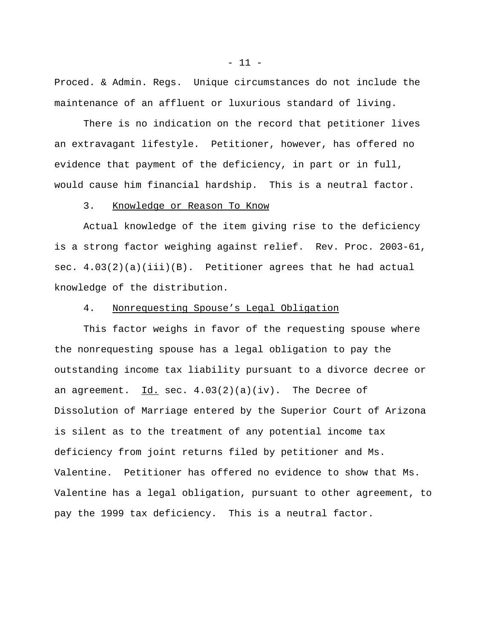Proced. & Admin. Regs. Unique circumstances do not include the maintenance of an affluent or luxurious standard of living.

There is no indication on the record that petitioner lives an extravagant lifestyle. Petitioner, however, has offered no evidence that payment of the deficiency, in part or in full, would cause him financial hardship. This is a neutral factor.

#### 3. Knowledge or Reason To Know

Actual knowledge of the item giving rise to the deficiency is a strong factor weighing against relief. Rev. Proc. 2003-61, sec. 4.03(2)(a)(iii)(B). Petitioner agrees that he had actual knowledge of the distribution.

#### 4. Nonrequesting Spouse's Legal Obligation

This factor weighs in favor of the requesting spouse where the nonrequesting spouse has a legal obligation to pay the outstanding income tax liability pursuant to a divorce decree or an agreement. Id. sec.  $4.03(2)(a)(iv)$ . The Decree of Dissolution of Marriage entered by the Superior Court of Arizona is silent as to the treatment of any potential income tax deficiency from joint returns filed by petitioner and Ms. Valentine. Petitioner has offered no evidence to show that Ms. Valentine has a legal obligation, pursuant to other agreement, to pay the 1999 tax deficiency. This is a neutral factor.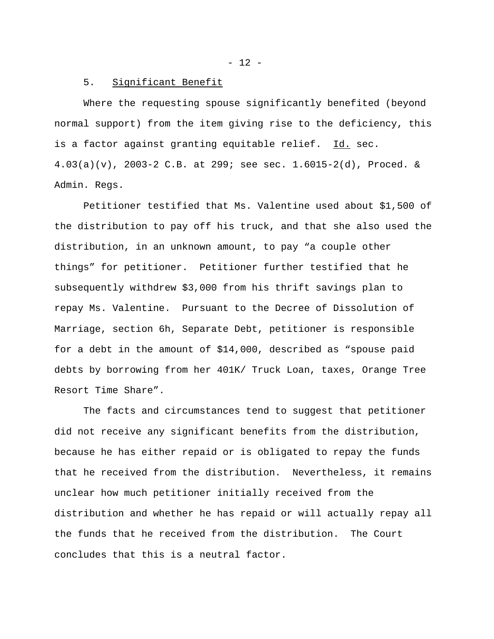$- 12 -$ 

#### 5. Significant Benefit

Where the requesting spouse significantly benefited (beyond normal support) from the item giving rise to the deficiency, this is a factor against granting equitable relief. Id. sec.  $4.03(a)(v)$ , 2003-2 C.B. at 299; see sec.  $1.6015-2(d)$ , Proced. & Admin. Regs.

Petitioner testified that Ms. Valentine used about \$1,500 of the distribution to pay off his truck, and that she also used the distribution, in an unknown amount, to pay "a couple other things" for petitioner. Petitioner further testified that he subsequently withdrew \$3,000 from his thrift savings plan to repay Ms. Valentine. Pursuant to the Decree of Dissolution of Marriage, section 6h, Separate Debt, petitioner is responsible for a debt in the amount of \$14,000, described as "spouse paid debts by borrowing from her 401K/ Truck Loan, taxes, Orange Tree Resort Time Share".

The facts and circumstances tend to suggest that petitioner did not receive any significant benefits from the distribution, because he has either repaid or is obligated to repay the funds that he received from the distribution. Nevertheless, it remains unclear how much petitioner initially received from the distribution and whether he has repaid or will actually repay all the funds that he received from the distribution. The Court concludes that this is a neutral factor.